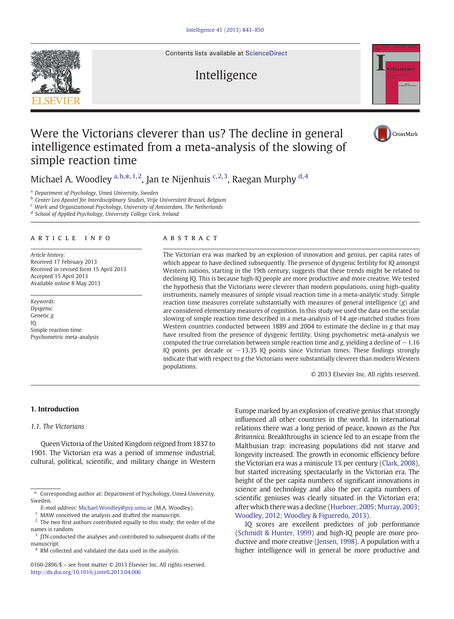Contents lists available at [ScienceDirect](http://www.sciencedirect.com/science/journal/01602896)

# Intelligence



CrossMark

# Were the Victorians cleverer than us? The decline in general intelligence estimated from a meta-analysis of the slowing of simple reaction time

Michael A. Woodley <sup>a,b, $\ast,$ 1,2, Jan te Nijenhuis <sup>c,2,3</sup>, Raegan Murphy <sup>d,4</sup></sup>

<sup>a</sup> Department of Psychology, Umeå University, Sweden

**b** Center Leo Apostel for Interdisciplinary Studies, Vrije Universiteit Brussel, Belgium

<sup>c</sup> Work and Organizational Psychology, University of Amsterdam, The Netherlands

<sup>d</sup> School of Applied Psychology, University College Cork, Ireland

# article info abstract

Article history: Received 17 February 2013 Received in revised form 15 April 2013 Accepted 15 April 2013 Available online 8 May 2013

Keywords: Dysgenic Genetic g IQ Simple reaction time Psychometric meta-analysis

The Victorian era was marked by an explosion of innovation and genius, per capita rates of which appear to have declined subsequently. The presence of dysgenic fertility for IQ amongst Western nations, starting in the 19th century, suggests that these trends might be related to declining IQ. This is because high-IQ people are more productive and more creative. We tested the hypothesis that the Victorians were cleverer than modern populations, using high-quality instruments, namely measures of simple visual reaction time in a meta-analytic study. Simple reaction time measures correlate substantially with measures of general intelligence  $(g)$  and are considered elementary measures of cognition. In this study we used the data on the secular slowing of simple reaction time described in a meta-analysis of 14 age-matched studies from Western countries conducted between 1889 and 2004 to estimate the decline in g that may have resulted from the presence of dysgenic fertility. Using psychometric meta-analysis we computed the true correlation between simple reaction time and g, yielding a decline of  $-1.16$ IQ points per decade or −13.35 IQ points since Victorian times. These findings strongly indicate that with respect to g the Victorians were substantially cleverer than modern Western populations.

© 2013 Elsevier Inc. All rights reserved.

## 1. Introduction

#### 1.1. The Victorians

Queen Victoria of the United Kingdom reigned from 1837 to 1901. The Victorian era was a period of immense industrial, cultural, political, scientific, and military change in Western

Europe marked by an explosion of creative genius that strongly influenced all other countries in the world. In international relations there was a long period of peace, known as the Pax Britannica. Breakthroughs in science led to an escape from the Malthusian trap: increasing populations did not starve and longevity increased. The growth in economic efficiency before the Victorian era was a miniscule 1% per century [\(Clark, 2008\)](#page--1-0), but started increasing spectacularly in the Victorian era. The height of the per capita numbers of significant innovations in science and technology and also the per capita numbers of scientific geniuses was clearly situated in the Victorian era; after which there was a decline [\(Huebner, 2005; Murray, 2003;](#page--1-0) [Woodley, 2012; Woodley & Figueredo, 2013](#page--1-0)).

IQ scores are excellent predictors of job performance [\(Schmidt & Hunter, 1999](#page--1-0)) and high-IQ people are more productive and more creative [\(Jensen, 1998](#page--1-0)). A population with a higher intelligence will in general be more productive and



<sup>⁎</sup> Corresponding author at: Department of Psychology, Umeå University, Sweden.

E-mail address: [Michael.Woodley@psy.umu.se](mailto:Michael.Woodley@psy.umu.se) (M.A. Woodley).

MAW conceived the analysis and drafted the manuscript.

<sup>&</sup>lt;sup>2</sup> The two first authors contributed equally to this study; the order of the names is random.

<sup>&</sup>lt;sup>3</sup> ITN conducted the analyses and contributed to subsequent drafts of the manuscript.

<sup>&</sup>lt;sup>4</sup> RM collected and validated the data used in the analysis.

<sup>0160-2896/\$</sup> – see front matter © 2013 Elsevier Inc. All rights reserved. <http://dx.doi.org/10.1016/j.intell.2013.04.006>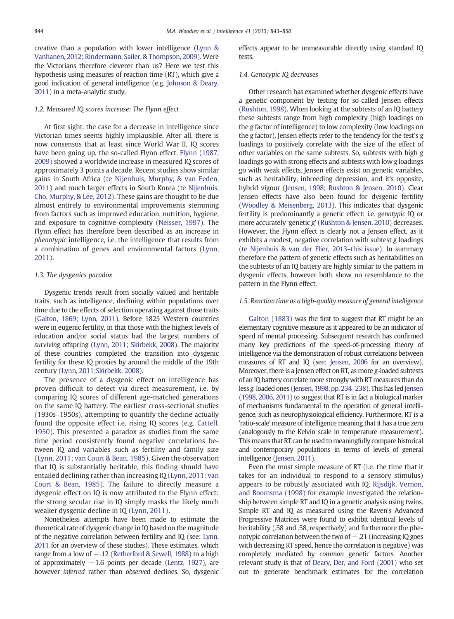creative than a population with lower intelligence ([Lynn &](#page--1-0) [Vanhanen, 2012; Rindermann, Sailer, & Thompson, 2009](#page--1-0)). Were the Victorians therefore cleverer than us? Here we test this hypothesis using measures of reaction time (RT), which give a good indication of general intelligence (e.g. [Johnson & Deary,](#page--1-0) [2011\)](#page--1-0) in a meta-analytic study.

# 1.2. Measured IQ scores increase: The Flynn effect

At first sight, the case for a decrease in intelligence since Victorian times seems highly implausible. After all, there is now consensus that at least since World War II, IQ scores have been going up, the so-called Flynn effect. [Flynn \(1987,](#page--1-0) [2009\)](#page--1-0) showed a worldwide increase in measured IQ scores of approximately 3 points a decade. Recent studies show similar gains in South Africa [\(te Nijenhuis, Murphy, & van Eeden,](#page--1-0) [2011](#page--1-0)) and much larger effects in South Korea [\(te Nijenhuis,](#page--1-0) [Cho, Murphy, & Lee, 2012\)](#page--1-0). These gains are thought to be due almost entirely to environmental improvements stemming from factors such as improved education, nutrition, hygiene, and exposure to cognitive complexity [\(Neisser, 1997](#page--1-0)). The Flynn effect has therefore been described as an increase in phenotypic intelligence, i.e. the intelligence that results from a combination of genes and environmental factors ([Lynn,](#page--1-0) [2011](#page--1-0)).

## 1.3. The dysgenics paradox

Dysgenic trends result from socially valued and heritable traits, such as intelligence, declining within populations over time due to the effects of selection operating against those traits ([Galton, 1869; Lynn, 2011\)](#page--1-0). Before 1825 Western countries were in eugenic fertility, in that those with the highest levels of education and/or social status had the largest numbers of surviving offspring [\(Lynn, 2011; Skirbekk, 2008](#page--1-0)). The majority of these countries completed the transition into dysgenic fertility for these IQ proxies by around the middle of the 19th century ([Lynn, 2011;Skirbekk, 2008\)](#page--1-0).

The presence of a dysgenic effect on intelligence has proven difficult to detect via direct measurement, i.e. by comparing IQ scores of different age-matched generations on the same IQ battery. The earliest cross-sectional studies (1930s–1950s), attempting to quantify the decline actually found the opposite effect i.e. rising IQ scores (e.g. [Cattell,](#page--1-0) [1950\)](#page--1-0). This presented a paradox as studies from the same time period consistently found negative correlations between IQ and variables such as fertility and family size ([Lynn, 2011; van Court & Bean, 1985\)](#page--1-0). Given the observation that IQ is substantially heritable, this finding should have entailed declining rather than increasing IQ [\(Lynn, 2011; van](#page--1-0) [Court & Bean, 1985\)](#page--1-0). The failure to directly measure a dysgenic effect on IQ is now attributed to the Flynn effect: the strong secular rise in IQ simply masks the likely much weaker dysgenic decline in IQ ([Lynn, 2011](#page--1-0)).

Nonetheless attempts have been made to estimate the theoretical rate of dysgenic change in IQ based on the magnitude of the negative correlation between fertility and IQ (see: [Lynn,](#page--1-0) [2011](#page--1-0) for an overview of these studies). These estimates, which range from a low of −.12 ([Retherford & Sewell, 1988](#page--1-0)) to a high of approximately  $-1.6$  points per decade [\(Lentz, 1927\)](#page--1-0), are however inferred rather than observed declines. So, dysgenic

effects appear to be unmeasurable directly using standard IQ tests.

## 1.4. Genotypic IQ decreases

Other research has examined whether dysgenic effects have a genetic component by testing for so-called Jensen effects ([Rushton, 1998](#page--1-0)). When looking at the subtests of an IQ battery these subtests range from high complexity (high loadings on the g factor of intelligence) to low complexity (low loadings on the g factor). Jensen effects refer to the tendency for the test's g loadings to positively correlate with the size of the effect of other variables on the same subtests. So, subtests with high g loadings go with strong effects and subtests with low g loadings go with weak effects. Jensen effects exist on genetic variables, such as heritability, inbreeding depression, and it's opposite, hybrid vigour [\(Jensen, 1998; Rushton & Jensen, 2010](#page--1-0)). Clear Jensen effects have also been found for dysgenic fertility ([Woodley & Meisenberg, 2013\)](#page--1-0). This indicates that dysgenic fertility is predominantly a genetic effect: i.e. genotypic IQ or more accurately 'genetic g' [\(Rushton & Jensen, 2010\)](#page--1-0) decreases. However, the Flynn effect is clearly not a Jensen effect, as it exhibits a modest, negative correlation with subtest g loadings ([te Nijenhuis & van der Flier, 2013](#page--1-0)–this issue). In summary therefore the pattern of genetic effects such as heritabilities on the subtests of an IQ battery are highly similar to the pattern in dysgenic effects, however both show no resemblance to the pattern in the Flynn effect.

## 1.5. Reaction time as a high-quality measure of general intelligence

[Galton \(1883\)](#page--1-0) was the first to suggest that RT might be an elementary cognitive measure as it appeared to be an indicator of speed of mental processing. Subsequent research has confirmed many key predictions of the speed-of-processing theory of intelligence via the demonstration of robust correlations between measures of RT and IQ (see: [Jensen, 2006](#page--1-0) for an overview). Moreover, there is a Jensen effect on RT, as more g-loaded subtests of an IQ battery correlate more strongly with RT measures than do less g-loaded ones ([Jensen, 1998, pp. 234](#page--1-0)–238). This has led [Jensen](#page--1-0) [\(1998, 2006, 2011\)](#page--1-0) to suggest that RT is in fact a biological marker of mechanisms fundamental to the operation of general intelligence, such as neurophysiological efficiency. Furthermore, RT is a 'ratio-scale' measure of intelligence meaning that it has a true zero (analogously to the Kelvin scale in temperature measurement). This means that RT can be used to meaningfully compare historical and contemporary populations in terms of levels of general intelligence [\(Jensen, 2011](#page--1-0)).

Even the most simple measure of RT (i.e. the time that it takes for an individual to respond to a sensory stimulus) appears to be robustly associated with IQ. [Rijsdijk, Vernon,](#page--1-0) [and Boomsma \(1998\)](#page--1-0) for example investigated the relationship between simple RT and IQ in a genetic analysis using twins. Simple RT and IQ as measured using the Raven's Advanced Progressive Matrices were found to exhibit identical levels of heritability (.58 and .58, respectively) and furthermore the phenotypic correlation between the two of – 21 (increasing IO goes with decreasing RT speed, hence the correlation is negative) was completely mediated by common genetic factors. Another relevant study is that of [Deary, Der, and Ford \(2001\)](#page--1-0) who set out to generate benchmark estimates for the correlation